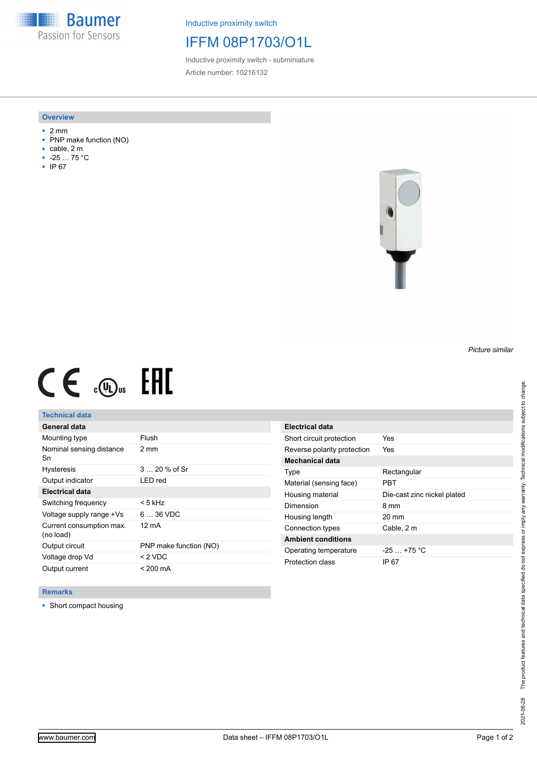**Baumer** Passion for Sensors

Inductive proximity switch

# IFFM 08P1703/O1L

Inductive proximity switch - subminiature Article number: 10216132

#### **Overview**

- 2 mm
- PNP make function (NO)
- cable, 2 m
- -25 … 75 °C
- IP 67



# $CE \text{ and } CH$

## **Technical data**

| General data                          |                        |
|---------------------------------------|------------------------|
| Mounting type                         | Flush                  |
| Nominal sensing distance<br>Sn        | 2 mm                   |
| <b>Hysteresis</b>                     | $320%$ of Sr           |
| Output indicator                      | LED red                |
| <b>Electrical data</b>                |                        |
| Switching frequency                   | < 5 kHz                |
| Voltage supply range +Vs              | $636$ VDC              |
| Current consumption max.<br>(no load) | 12 mA                  |
| Output circuit                        | PNP make function (NO) |
| Voltage drop Vd                       | $<$ 2 VDC              |
| Output current                        | $< 200 \text{ mA}$     |

| <b>Electrical data</b>      |                             |
|-----------------------------|-----------------------------|
| Short circuit protection    | Yes                         |
| Reverse polarity protection | Yes                         |
| Mechanical data             |                             |
| Type                        | Rectangular                 |
| Material (sensing face)     | PRT                         |
| Housing material            | Die-cast zinc nickel plated |
| Dimension                   | 8 mm                        |
| Housing length              | 20 mm                       |
| Connection types            | Cable, 2 m                  |
|                             |                             |
| <b>Ambient conditions</b>   |                             |
| Operating temperature       | $-25$ $+75$ °C              |

### **Remarks**

■ Short compact housing

*Picture similar*